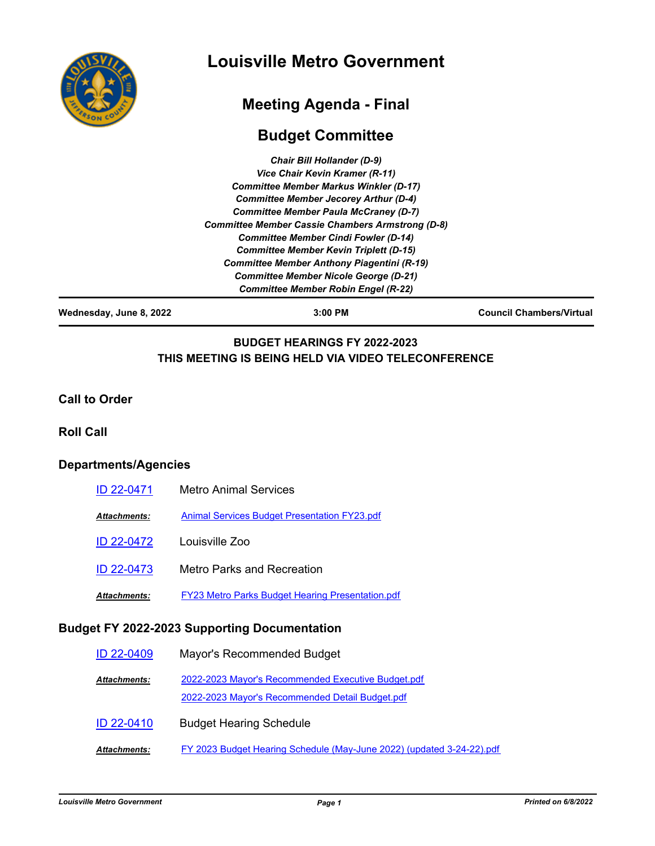

# **Louisville Metro Government**

## **Meeting Agenda - Final**

## **Budget Committee**

| <b>Chair Bill Hollander (D-9)</b>                       |  |
|---------------------------------------------------------|--|
| Vice Chair Kevin Kramer (R-11)                          |  |
| <b>Committee Member Markus Winkler (D-17)</b>           |  |
| <b>Committee Member Jecorey Arthur (D-4)</b>            |  |
| <b>Committee Member Paula McCraney (D-7)</b>            |  |
| <b>Committee Member Cassie Chambers Armstrong (D-8)</b> |  |
| <b>Committee Member Cindi Fowler (D-14)</b>             |  |
| <b>Committee Member Kevin Triplett (D-15)</b>           |  |
| <b>Committee Member Anthony Piagentini (R-19)</b>       |  |
| <b>Committee Member Nicole George (D-21)</b>            |  |
| <b>Committee Member Robin Engel (R-22)</b>              |  |
|                                                         |  |

**Wednesday, June 8, 2022 3:00 PM Council Chambers/Virtual**

## **BUDGET HEARINGS FY 2022-2023 THIS MEETING IS BEING HELD VIA VIDEO TELECONFERENCE**

#### **Call to Order**

#### **Roll Call**

### **Departments/Agencies**

| ID 22-0471   | <b>Metro Animal Services</b>                            |
|--------------|---------------------------------------------------------|
| Attachments: | <b>Animal Services Budget Presentation FY23.pdf</b>     |
| ID 22-0472   | Louisville Zoo                                          |
| ID 22-0473   | Metro Parks and Recreation                              |
| Attachments: | <b>FY23 Metro Parks Budget Hearing Presentation.pdf</b> |

### **Budget FY 2022-2023 Supporting Documentation**

| <b>ID 22-0409</b>   | Mayor's Recommended Budget                                                                            |
|---------------------|-------------------------------------------------------------------------------------------------------|
| <b>Attachments:</b> | 2022-2023 Mayor's Recommended Executive Budget.pdf<br>2022-2023 Mayor's Recommended Detail Budget.pdf |
| <b>ID 22-0410</b>   | <b>Budget Hearing Schedule</b>                                                                        |
| <b>Attachments:</b> | FY 2023 Budget Hearing Schedule (May-June 2022) (updated 3-24-22).pdf                                 |